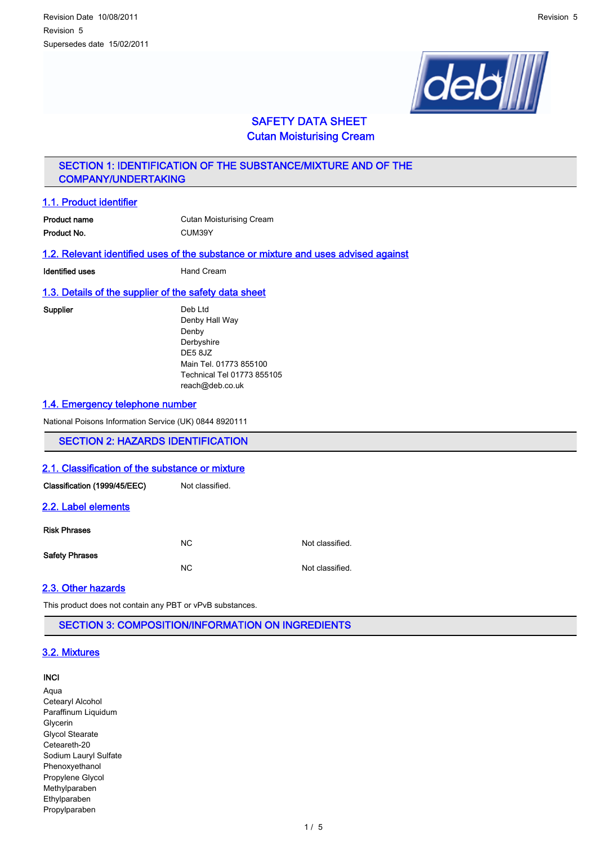

# SAFETY DATA SHEET Cutan Moisturising Cream

# SECTION 1: IDENTIFICATION OF THE SUBSTANCE/MIXTURE AND OF THE COMPANY/UNDERTAKING

# 1.1. Product identifier

| Product name | <b>Cutan Moisturising Cream</b> |
|--------------|---------------------------------|
| Product No.  | CUM39Y                          |

## 1.2. Relevant identified uses of the substance or mixture and uses advised against

**Identified uses Hand Cream** 

### 1.3. Details of the supplier of the safety data sheet

Supplier Deb Ltd Denby Hall Way Denby Derbyshire DE5 8JZ Main Tel. 01773 855100 Technical Tel 01773 855105 reach@deb.co.uk

### 1.4. Emergency telephone number

National Poisons Information Service (UK) 0844 8920111

# SECTION 2: HAZARDS IDENTIFICATION

### 2.1. Classification of the substance or mixture

| Classification (1999/45/EEC) | Not classified. |                 |
|------------------------------|-----------------|-----------------|
| 2.2. Label elements          |                 |                 |
| <b>Risk Phrases</b>          | NC.             | Not classified. |
| <b>Safety Phrases</b>        | <b>NC</b>       | Not classified. |

# 2.3. Other hazards

This product does not contain any PBT or vPvB substances.

SECTION 3: COMPOSITION/INFORMATION ON INGREDIENTS

## 3.2. Mixtures

### INCI

Aqua Cetearyl Alcohol Paraffinum Liquidum Glycerin Glycol Stearate Ceteareth-20 Sodium Lauryl Sulfate Phenoxyethanol Propylene Glycol Methylparaben Ethylparaben Propylparaben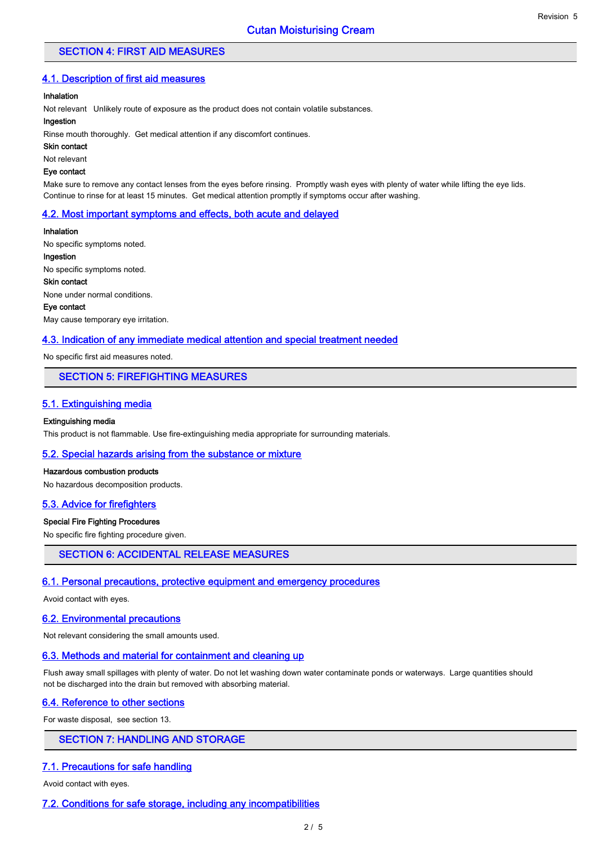### SECTION 4: FIRST AID MEASURES

### 4.1. Description of first aid measures

#### Inhalation

Not relevant Unlikely route of exposure as the product does not contain volatile substances.

#### Ingestion

Rinse mouth thoroughly. Get medical attention if any discomfort continues.

Skin contact

Not relevant

### Eye contact

Make sure to remove any contact lenses from the eyes before rinsing. Promptly wash eyes with plenty of water while lifting the eye lids. Continue to rinse for at least 15 minutes. Get medical attention promptly if symptoms occur after washing.

#### 4.2. Most important symptoms and effects, both acute and delayed

Inhalation No specific symptoms noted. Ingestion No specific symptoms noted. Skin contact None under normal conditions. Eye contact

May cause temporary eye irritation.

#### 4.3. Indication of any immediate medical attention and special treatment needed

No specific first aid measures noted.

### SECTION 5: FIREFIGHTING MEASURES

#### 5.1. Extinguishing media

#### Extinguishing media

This product is not flammable. Use fire-extinguishing media appropriate for surrounding materials.

#### 5.2. Special hazards arising from the substance or mixture

#### Hazardous combustion products

No hazardous decomposition products.

#### 5.3. Advice for firefighters

#### Special Fire Fighting Procedures

No specific fire fighting procedure given.

## SECTION 6: ACCIDENTAL RELEASE MEASURES

#### 6.1. Personal precautions, protective equipment and emergency procedures

Avoid contact with eyes.

#### 6.2. Environmental precautions

Not relevant considering the small amounts used.

#### 6.3. Methods and material for containment and cleaning up

Flush away small spillages with plenty of water. Do not let washing down water contaminate ponds or waterways. Large quantities should not be discharged into the drain but removed with absorbing material.

## 6.4. Reference to other sections

For waste disposal, see section 13.

# SECTION 7: HANDLING AND STORAGE

#### 7.1. Precautions for safe handling

Avoid contact with eyes.

#### 7.2. Conditions for safe storage, including any incompatibilities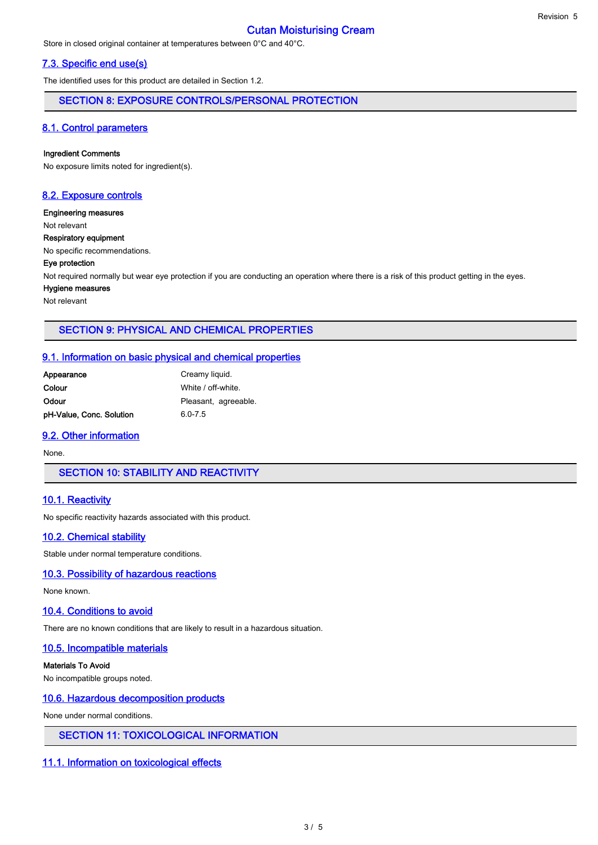# Cutan Moisturising Cream

Store in closed original container at temperatures between 0°C and 40°C.

### 7.3. Specific end use(s)

The identified uses for this product are detailed in Section 1.2.

SECTION 8: EXPOSURE CONTROLS/PERSONAL PROTECTION

### 8.1. Control parameters

#### Ingredient Comments

No exposure limits noted for ingredient(s).

### 8.2. Exposure controls

Engineering measures

Not relevant

Respiratory equipment

No specific recommendations.

#### Eye protection

Not required normally but wear eye protection if you are conducting an operation where there is a risk of this product getting in the eyes.

#### Hygiene measures

Not relevant

### SECTION 9: PHYSICAL AND CHEMICAL PROPERTIES

#### 9.1. Information on basic physical and chemical properties

| Appearance               | Creamy liquid.       |
|--------------------------|----------------------|
| Colour                   | White / off-white.   |
| Odour                    | Pleasant, agreeable. |
| pH-Value, Conc. Solution | $6.0 - 7.5$          |

### 9.2. Other information

None.

SECTION 10: STABILITY AND REACTIVITY

### 10.1. Reactivity

No specific reactivity hazards associated with this product.

#### 10.2. Chemical stability

Stable under normal temperature conditions.

### 10.3. Possibility of hazardous reactions

None known.

#### 10.4. Conditions to avoid

There are no known conditions that are likely to result in a hazardous situation.

### 10.5. Incompatible materials

Materials To Avoid

No incompatible groups noted.

### 10.6. Hazardous decomposition products

None under normal conditions.

#### SECTION 11: TOXICOLOGICAL INFORMATION

### 11.1. Information on toxicological effects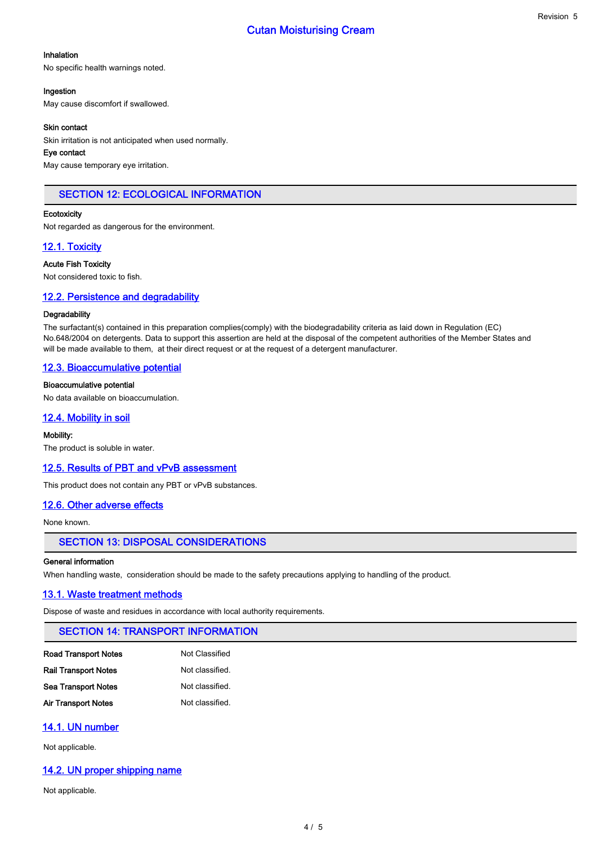## Inhalation

No specific health warnings noted.

#### Ingestion

May cause discomfort if swallowed.

#### Skin contact

Skin irritation is not anticipated when used normally.

### Eye contact

May cause temporary eye irritation.

## SECTION 12: ECOLOGICAL INFORMATION

#### **Ecotoxicity**

Not regarded as dangerous for the environment.

### 12.1. Toxicity

Acute Fish Toxicity

Not considered toxic to fish.

### 12.2. Persistence and degradability

#### **Degradability**

The surfactant(s) contained in this preparation complies(comply) with the biodegradability criteria as laid down in Regulation (EC) No.648/2004 on detergents. Data to support this assertion are held at the disposal of the competent authorities of the Member States and will be made available to them, at their direct request or at the request of a detergent manufacturer.

### 12.3. Bioaccumulative potential

#### Bioaccumulative potential

No data available on bioaccumulation.

### 12.4. Mobility in soil

#### Mobility:

The product is soluble in water.

#### 12.5. Results of PBT and vPvB assessment

This product does not contain any PBT or vPvB substances.

### 12.6. Other adverse effects

None known.

### SECTION 13: DISPOSAL CONSIDERATIONS

#### General information

When handling waste, consideration should be made to the safety precautions applying to handling of the product.

### 13.1. Waste treatment methods

Dispose of waste and residues in accordance with local authority requirements.

### SECTION 14: TRANSPORT INFORMATION

| Not Classified  |
|-----------------|
| Not classified. |
| Not classified. |
| Not classified. |
|                 |

### 14.1. UN number

Not applicable.

### 14.2. UN proper shipping name

Not applicable.